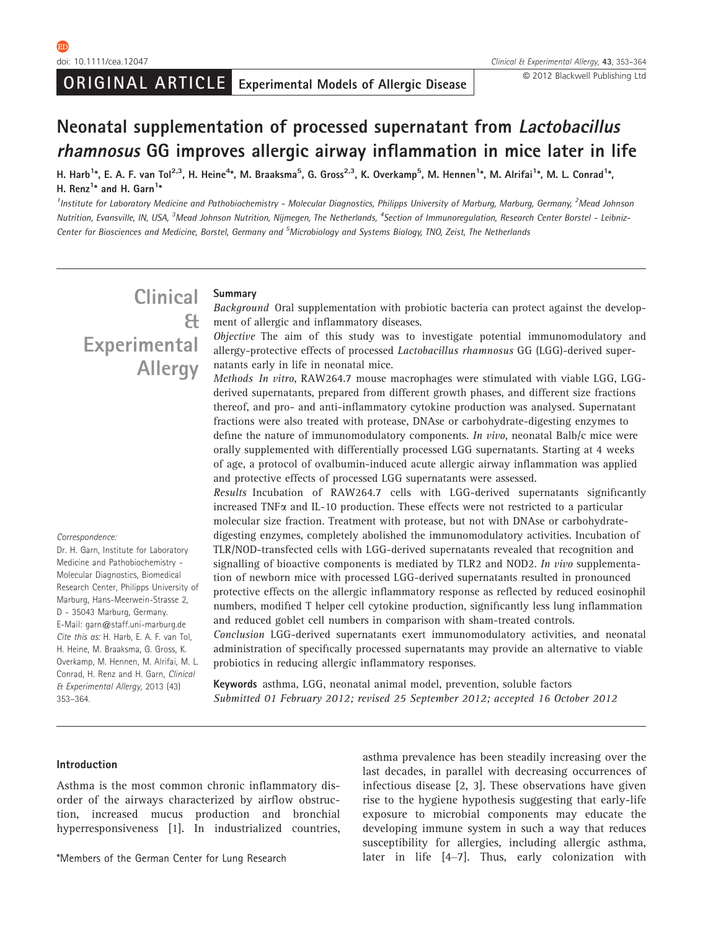# Neonatal supplementation of processed supernatant from Lactobacillus rhamnosus GG improves allergic airway inflammation in mice later in life

H. Harb<sup>1</sup>\*, E. A. F. van Tol<sup>2,3</sup>, H. Heine<sup>4</sup>\*, M. Braaksma<sup>5</sup>, G. Gross<sup>2,3</sup>, K. Overkamp<sup>5</sup>, M. Hennen<sup>1</sup>\*, M. Alrifai<sup>1</sup>\*, M. L. Conrad<sup>1</sup>\*, H. Renz<sup>1\*</sup> and H. Garn<sup>1\*</sup>

<sup>1</sup>Institute for Laboratory Medicine and Pathobiochemistry - Molecular Diagnostics, Philipps University of Marburg, Marburg, Germany, <sup>2</sup>Mead Johnson Nutrition, Evansville, IN, USA, <sup>3</sup>Mead Johnson Nutrition, Nijmegen, The Netherlands, <sup>4</sup>Section of Immunoregulation, Research Center Borstel - Leibniz-Center for Biosciences and Medicine, Borstel, Germany and <sup>5</sup>Microbiology and Systems Biology, TNO, Zeist, The Netherlands

# Clinical & **Experimental Allergy**

#### Summary

Background Oral supplementation with probiotic bacteria can protect against the development of allergic and inflammatory diseases.

Objective The aim of this study was to investigate potential immunomodulatory and allergy-protective effects of processed Lactobacillus rhamnosus GG (LGG)-derived supernatants early in life in neonatal mice.

Methods In vitro, RAW264.7 mouse macrophages were stimulated with viable LGG, LGGderived supernatants, prepared from different growth phases, and different size fractions thereof, and pro- and anti-inflammatory cytokine production was analysed. Supernatant fractions were also treated with protease, DNAse or carbohydrate-digesting enzymes to define the nature of immunomodulatory components. In vivo, neonatal Balb/c mice were orally supplemented with differentially processed LGG supernatants. Starting at 4 weeks of age, a protocol of ovalbumin-induced acute allergic airway inflammation was applied and protective effects of processed LGG supernatants were assessed.

Results Incubation of RAW264.7 cells with LGG-derived supernatants significantly increased TNFa and IL-10 production. These effects were not restricted to a particular molecular size fraction. Treatment with protease, but not with DNAse or carbohydratedigesting enzymes, completely abolished the immunomodulatory activities. Incubation of TLR/NOD-transfected cells with LGG-derived supernatants revealed that recognition and signalling of bioactive components is mediated by TLR2 and NOD2. In vivo supplementation of newborn mice with processed LGG-derived supernatants resulted in pronounced protective effects on the allergic inflammatory response as reflected by reduced eosinophil numbers, modified T helper cell cytokine production, significantly less lung inflammation and reduced goblet cell numbers in comparison with sham-treated controls.

Conclusion LGG-derived supernatants exert immunomodulatory activities, and neonatal administration of specifically processed supernatants may provide an alternative to viable probiotics in reducing allergic inflammatory responses.

Keywords asthma, LGG, neonatal animal model, prevention, soluble factors Submitted 01 February 2012; revised 25 September 2012; accepted 16 October 2012

#### Introduction

Asthma is the most common chronic inflammatory disorder of the airways characterized by airflow obstruction, increased mucus production and bronchial hyperresponsiveness [1]. In industrialized countries,

asthma prevalence has been steadily increasing over the last decades, in parallel with decreasing occurrences of infectious disease [2, 3]. These observations have given rise to the hygiene hypothesis suggesting that early-life exposure to microbial components may educate the developing immune system in such a way that reduces susceptibility for allergies, including allergic asthma, \*Members of the German Center for Lung Research later in life [4–7]. Thus, early colonization with

Correspondence:

Dr. H. Garn, Institute for Laboratory Medicine and Pathobiochemistry - Molecular Diagnostics, Biomedical Research Center, Philipps University of Marburg, Hans-Meerwein-Strasse 2, D - 35043 Marburg, Germany. E-Mail: garn@staff.uni-marburg.de Cite this as: H. Harb, E. A. F. van Tol, H. Heine, M. Braaksma, G. Gross, K. Overkamp, M. Hennen, M. Alrifai, M. L. Conrad, H. Renz and H. Garn, Clinical & Experimental Allergy, 2013 (43) 353–364.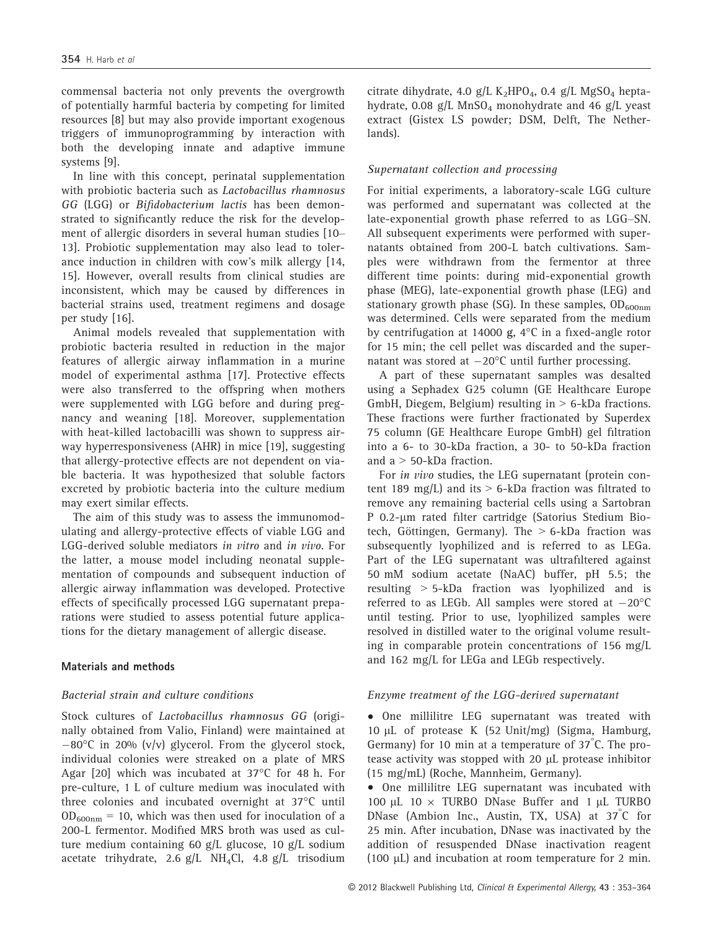commensal bacteria not only prevents the overgrowth of potentially harmful bacteria by competing for limited resources [8] but may also provide important exogenous triggers of immunoprogramming by interaction with both the developing innate and adaptive immune systems [9].

In line with this concept, perinatal supplementation with probiotic bacteria such as Lactobacillus rhamnosus GG (LGG) or Bifidobacterium lactis has been demonstrated to significantly reduce the risk for the development of allergic disorders in several human studies [10– 13]. Probiotic supplementation may also lead to tolerance induction in children with cow's milk allergy [14, 15]. However, overall results from clinical studies are inconsistent, which may be caused by differences in bacterial strains used, treatment regimens and dosage per study [16].

Animal models revealed that supplementation with probiotic bacteria resulted in reduction in the major features of allergic airway inflammation in a murine model of experimental asthma [17]. Protective effects were also transferred to the offspring when mothers were supplemented with LGG before and during pregnancy and weaning [18]. Moreover, supplementation with heat-killed lactobacilli was shown to suppress airway hyperresponsiveness (AHR) in mice [19], suggesting that allergy-protective effects are not dependent on viable bacteria. It was hypothesized that soluble factors excreted by probiotic bacteria into the culture medium may exert similar effects.

The aim of this study was to assess the immunomodulating and allergy-protective effects of viable LGG and LGG-derived soluble mediators in vitro and in vivo. For the latter, a mouse model including neonatal supplementation of compounds and subsequent induction of allergic airway inflammation was developed. Protective effects of specifically processed LGG supernatant preparations were studied to assess potential future applications for the dietary management of allergic disease.

#### Materials and methods

## Bacterial strain and culture conditions

Stock cultures of Lactobacillus rhamnosus GG (originally obtained from Valio, Finland) were maintained at  $-80^{\circ}$ C in 20% (v/v) glycerol. From the glycerol stock, individual colonies were streaked on a plate of MRS Agar [20] which was incubated at 37°C for 48 h. For pre-culture, 1 L of culture medium was inoculated with three colonies and incubated overnight at 37°C until  $OD_{600nm} = 10$ , which was then used for inoculation of a 200-L fermentor. Modified MRS broth was used as culture medium containing 60 g/L glucose, 10 g/L sodium acetate trihydrate, 2.6  $g/L$  NH<sub>4</sub>Cl, 4.8  $g/L$  trisodium citrate dihydrate, 4.0 g/L  $K_2HPO_4$ , 0.4 g/L MgSO<sub>4</sub> heptahydrate, 0.08  $g/L$  MnSO<sub>4</sub> monohydrate and 46  $g/L$  yeast extract (Gistex LS powder; DSM, Delft, The Netherlands).

# Supernatant collection and processing

For initial experiments, a laboratory-scale LGG culture was performed and supernatant was collected at the late-exponential growth phase referred to as LGG–SN. All subsequent experiments were performed with supernatants obtained from 200-L batch cultivations. Samples were withdrawn from the fermentor at three different time points: during mid-exponential growth phase (MEG), late-exponential growth phase (LEG) and stationary growth phase (SG). In these samples,  $OD_{600nm}$ was determined. Cells were separated from the medium by centrifugation at 14000 g, 4°C in a fixed-angle rotor for 15 min; the cell pellet was discarded and the supernatant was stored at  $-20^{\circ}$ C until further processing.

A part of these supernatant samples was desalted using a Sephadex G25 column (GE Healthcare Europe GmbH, Diegem, Belgium) resulting in > 6-kDa fractions. These fractions were further fractionated by Superdex 75 column (GE Healthcare Europe GmbH) gel filtration into a 6- to 30-kDa fraction, a 30- to 50-kDa fraction and a > 50-kDa fraction.

For in vivo studies, the LEG supernatant (protein content 189 mg/L) and its  $> 6$ -kDa fraction was filtrated to remove any remaining bacterial cells using a Sartobran P 0.2-um rated filter cartridge (Satorius Stedium Biotech, Göttingen, Germany). The  $> 6$ -kDa fraction was subsequently lyophilized and is referred to as LEGa. Part of the LEG supernatant was ultrafiltered against 50 mM sodium acetate (NaAC) buffer, pH 5.5; the resulting > 5-kDa fraction was lyophilized and is referred to as LEGb. All samples were stored at  $-20^{\circ}$ C until testing. Prior to use, lyophilized samples were resolved in distilled water to the original volume resulting in comparable protein concentrations of 156 mg/L and 162 mg/L for LEGa and LEGb respectively.

## Enzyme treatment of the LGG-derived supernatant

• One millilitre LEG supernatant was treated with 10 µL of protease K (52 Unit/mg) (Sigma, Hamburg, Germany) for 10 min at a temperature of 37° C. The protease activity was stopped with 20 µL protease inhibitor (15 mg/mL) (Roche, Mannheim, Germany).

• One millilitre LEG supernatant was incubated with 100 µL 10  $\times$  TURBO DNase Buffer and 1 µL TURBO DNase (Ambion Inc., Austin, TX, USA) at 37° C for 25 min. After incubation, DNase was inactivated by the addition of resuspended DNase inactivation reagent (100  $\mu$ L) and incubation at room temperature for 2 min.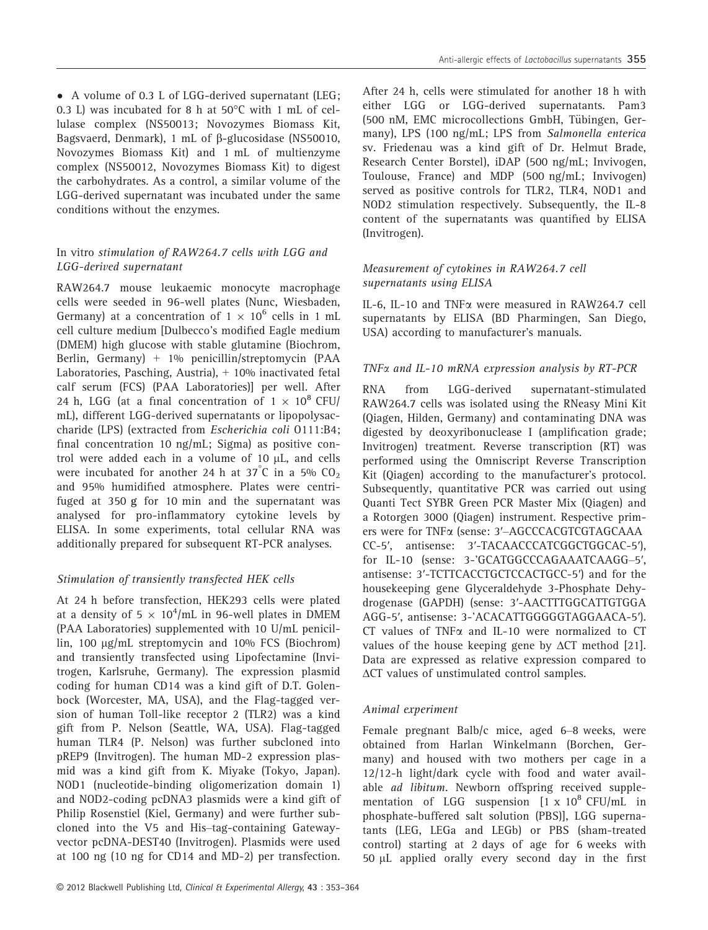• A volume of 0.3 L of LGG-derived supernatant (LEG; 0.3 L) was incubated for 8 h at 50°C with 1 mL of cellulase complex (NS50013; Novozymes Biomass Kit, Bagsvaerd, Denmark), 1 mL of  $\beta$ -glucosidase (NS50010, Novozymes Biomass Kit) and 1 mL of multienzyme complex (NS50012, Novozymes Biomass Kit) to digest the carbohydrates. As a control, a similar volume of the LGG-derived supernatant was incubated under the same conditions without the enzymes.

#### In vitro stimulation of RAW264.7 cells with LGG and LGG-derived supernatant

RAW264.7 mouse leukaemic monocyte macrophage cells were seeded in 96-well plates (Nunc, Wiesbaden, Germany) at a concentration of  $1 \times 10^6$  cells in 1 mL cell culture medium [Dulbecco's modified Eagle medium (DMEM) high glucose with stable glutamine (Biochrom, Berlin, Germany) + 1% penicillin/streptomycin (PAA Laboratories, Pasching, Austria), + 10% inactivated fetal calf serum (FCS) (PAA Laboratories)] per well. After 24 h, LGG (at a final concentration of  $1 \times 10^8$  CFU/ mL), different LGG-derived supernatants or lipopolysaccharide (LPS) (extracted from Escherichia coli O111:B4; final concentration 10 ng/mL; Sigma) as positive control were added each in a volume of  $10 \mu L$ , and cells were incubated for another 24 h at  $37^{\circ}$ C in a 5%  $CO_2$ and 95% humidified atmosphere. Plates were centrifuged at 350 g for 10 min and the supernatant was analysed for pro-inflammatory cytokine levels by ELISA. In some experiments, total cellular RNA was additionally prepared for subsequent RT-PCR analyses.

## Stimulation of transiently transfected HEK cells

At 24 h before transfection, HEK293 cells were plated at a density of 5  $\times$  10<sup>4</sup>/mL in 96-well plates in DMEM (PAA Laboratories) supplemented with 10 U/mL penicillin, 100 µg/mL streptomycin and 10% FCS (Biochrom) and transiently transfected using Lipofectamine (Invitrogen, Karlsruhe, Germany). The expression plasmid coding for human CD14 was a kind gift of D.T. Golenbock (Worcester, MA, USA), and the Flag-tagged version of human Toll-like receptor 2 (TLR2) was a kind gift from P. Nelson (Seattle, WA, USA). Flag-tagged human TLR4 (P. Nelson) was further subcloned into pREP9 (Invitrogen). The human MD-2 expression plasmid was a kind gift from K. Miyake (Tokyo, Japan). NOD1 (nucleotide-binding oligomerization domain 1) and NOD2-coding pcDNA3 plasmids were a kind gift of Philip Rosenstiel (Kiel, Germany) and were further subcloned into the V5 and His–tag-containing Gatewayvector pcDNA-DEST40 (Invitrogen). Plasmids were used at 100 ng (10 ng for CD14 and MD-2) per transfection.

After 24 h, cells were stimulated for another 18 h with either LGG or LGG-derived supernatants. Pam3 (500 nM, EMC microcollections GmbH, Tübingen, Germany), LPS (100 ng/mL; LPS from Salmonella enterica sv. Friedenau was a kind gift of Dr. Helmut Brade, Research Center Borstel), iDAP (500 ng/mL; Invivogen, Toulouse, France) and MDP (500 ng/mL; Invivogen) served as positive controls for TLR2, TLR4, NOD1 and NOD2 stimulation respectively. Subsequently, the IL-8 content of the supernatants was quantified by ELISA (Invitrogen).

# Measurement of cytokines in RAW264.7 cell supernatants using ELISA

IL-6, IL-10 and TNFa were measured in RAW264.7 cell supernatants by ELISA (BD Pharmingen, San Diego, USA) according to manufacturer's manuals.

#### TNFa and IL-10 mRNA expression analysis by RT-PCR

RNA from LGG-derived supernatant-stimulated RAW264.7 cells was isolated using the RNeasy Mini Kit (Qiagen, Hilden, Germany) and contaminating DNA was digested by deoxyribonuclease I (amplification grade; Invitrogen) treatment. Reverse transcription (RT) was performed using the Omniscript Reverse Transcription Kit (Qiagen) according to the manufacturer's protocol. Subsequently, quantitative PCR was carried out using Quanti Tect SYBR Green PCR Master Mix (Qiagen) and a Rotorgen 3000 (Qiagen) instrument. Respective primers were for TNFa (sense: 3′–AGCCCACGTCGTAGCAAA CC-5′, antisense: 3′-TACAACCCATCGGCTGGCAC-5′), for IL-10 (sense: 3-'GCATGGCCCAGAAATCAAGG–5′, antisense: 3′-TCTTCACCTGCTCCACTGCC-5′) and for the housekeeping gene Glyceraldehyde 3-Phosphate Dehydrogenase (GAPDH) (sense: 3′-AACTTTGGCATTGTGGA AGG-5′, antisense: 3-'ACACATTGGGGGTAGGAACA-5′). CT values of TNF $\alpha$  and IL-10 were normalized to CT values of the house keeping gene by  $\Delta CT$  method [21]. Data are expressed as relative expression compared to ΔCT values of unstimulated control samples.

#### Animal experiment

Female pregnant Balb/c mice, aged 6–8 weeks, were obtained from Harlan Winkelmann (Borchen, Germany) and housed with two mothers per cage in a 12/12-h light/dark cycle with food and water available ad libitum. Newborn offspring received supplementation of LGG suspension  $[1 \times 10^8 \text{ CFU/mL}$  in phosphate-buffered salt solution (PBS)], LGG supernatants (LEG, LEGa and LEGb) or PBS (sham-treated control) starting at 2 days of age for 6 weeks with 50 µL applied orally every second day in the first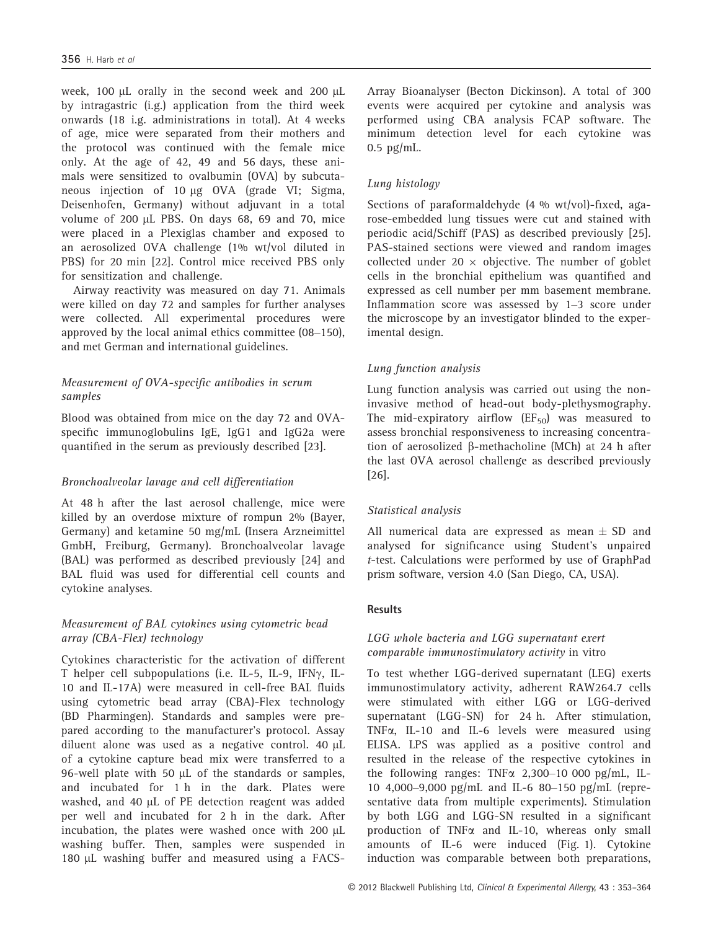week, 100  $\mu$ L orally in the second week and 200  $\mu$ L by intragastric (i.g.) application from the third week onwards (18 i.g. administrations in total). At 4 weeks of age, mice were separated from their mothers and the protocol was continued with the female mice only. At the age of 42, 49 and 56 days, these animals were sensitized to ovalbumin (OVA) by subcutaneous injection of 10 µg OVA (grade VI; Sigma, Deisenhofen, Germany) without adjuvant in a total volume of 200 µL PBS. On days 68, 69 and 70, mice were placed in a Plexiglas chamber and exposed to an aerosolized OVA challenge (1% wt/vol diluted in PBS) for 20 min [22]. Control mice received PBS only for sensitization and challenge.

Airway reactivity was measured on day 71. Animals were killed on day 72 and samples for further analyses were collected. All experimental procedures were approved by the local animal ethics committee (08–150), and met German and international guidelines.

# Measurement of OVA-specific antibodies in serum samples

Blood was obtained from mice on the day 72 and OVAspecific immunoglobulins IgE, IgG1 and IgG2a were quantified in the serum as previously described [23].

## Bronchoalveolar lavage and cell differentiation

At 48 h after the last aerosol challenge, mice were killed by an overdose mixture of rompun 2% (Bayer, Germany) and ketamine 50 mg/mL (Insera Arzneimittel GmbH, Freiburg, Germany). Bronchoalveolar lavage (BAL) was performed as described previously [24] and BAL fluid was used for differential cell counts and cytokine analyses.

# Measurement of BAL cytokines using cytometric bead array (CBA-Flex) technology

Cytokines characteristic for the activation of different T helper cell subpopulations (i.e. IL-5, IL-9, IFN $\gamma$ , IL-10 and IL-17A) were measured in cell-free BAL fluids using cytometric bead array (CBA)-Flex technology (BD Pharmingen). Standards and samples were prepared according to the manufacturer's protocol. Assay diluent alone was used as a negative control. 40  $\mu$ L of a cytokine capture bead mix were transferred to a 96-well plate with 50  $\mu$ L of the standards or samples, and incubated for 1 h in the dark. Plates were washed, and 40 µL of PE detection reagent was added per well and incubated for 2 h in the dark. After incubation, the plates were washed once with 200  $\mu$ L washing buffer. Then, samples were suspended in 180 µL washing buffer and measured using a FACS-

Array Bioanalyser (Becton Dickinson). A total of 300 events were acquired per cytokine and analysis was performed using CBA analysis FCAP software. The minimum detection level for each cytokine was 0.5 pg/mL.

## Lung histology

Sections of paraformaldehyde (4 % wt/vol)-fixed, agarose-embedded lung tissues were cut and stained with periodic acid/Schiff (PAS) as described previously [25]. PAS-stained sections were viewed and random images collected under 20  $\times$  objective. The number of goblet cells in the bronchial epithelium was quantified and expressed as cell number per mm basement membrane. Inflammation score was assessed by 1–3 score under the microscope by an investigator blinded to the experimental design.

## Lung function analysis

Lung function analysis was carried out using the noninvasive method of head-out body-plethysmography. The mid-expiratory airflow  $(EF_{50})$  was measured to assess bronchial responsiveness to increasing concentration of aerosolized b-methacholine (MCh) at 24 h after the last OVA aerosol challenge as described previously [26].

## Statistical analysis

All numerical data are expressed as mean  $\pm$  SD and analysed for significance using Student's unpaired t-test. Calculations were performed by use of GraphPad prism software, version 4.0 (San Diego, CA, USA).

## **Results**

## LGG whole bacteria and LGG supernatant exert comparable immunostimulatory activity in vitro

To test whether LGG-derived supernatant (LEG) exerts immunostimulatory activity, adherent RAW264.7 cells were stimulated with either LGG or LGG-derived supernatant (LGG-SN) for 24 h. After stimulation, TNFa, IL-10 and IL-6 levels were measured using ELISA. LPS was applied as a positive control and resulted in the release of the respective cytokines in the following ranges: TNF $\alpha$  2,300–10 000 pg/mL, IL-10 4,000–9,000 pg/mL and IL-6 80–150 pg/mL (representative data from multiple experiments). Stimulation by both LGG and LGG-SN resulted in a significant production of  $TNF\alpha$  and IL-10, whereas only small amounts of IL-6 were induced (Fig. 1). Cytokine induction was comparable between both preparations,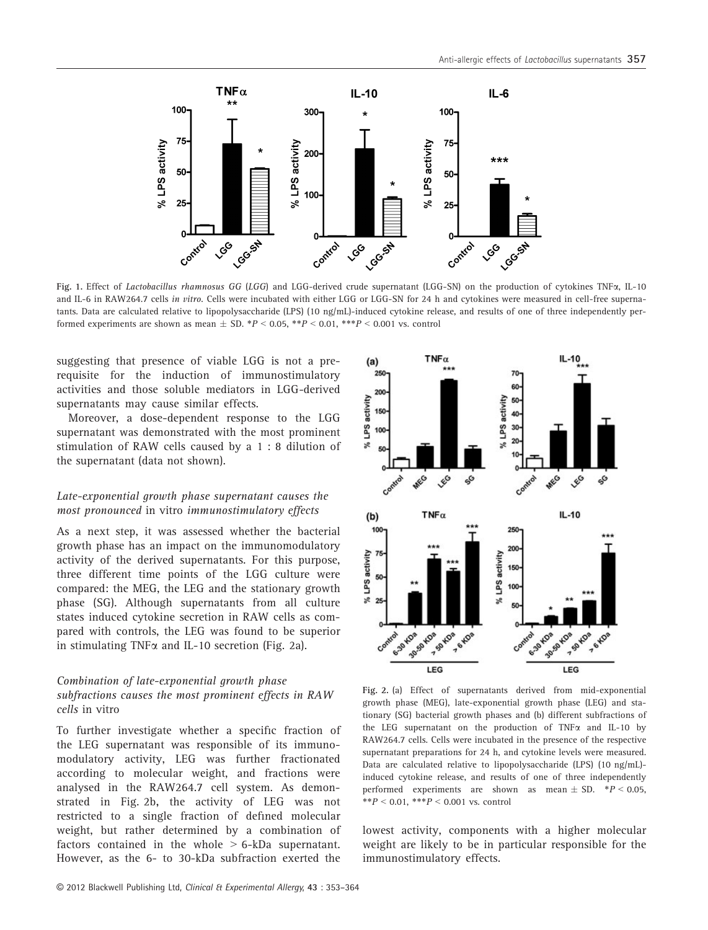

Fig. 1. Effect of Lactobacillus rhamnosus GG (LGG) and LGG-derived crude supernatant (LGG-SN) on the production of cytokines TNFa, IL-10 and IL-6 in RAW264.7 cells in vitro. Cells were incubated with either LGG or LGG-SN for 24 h and cytokines were measured in cell-free supernatants. Data are calculated relative to lipopolysaccharide (LPS) (10 ng/mL)-induced cytokine release, and results of one of three independently performed experiments are shown as mean  $\pm$  SD. \*P < 0.05, \*\*P < 0.01, \*\*\*P < 0.001 vs. control

suggesting that presence of viable LGG is not a prerequisite for the induction of immunostimulatory activities and those soluble mediators in LGG-derived supernatants may cause similar effects.

Moreover, a dose-dependent response to the LGG supernatant was demonstrated with the most prominent stimulation of RAW cells caused by a 1 : 8 dilution of the supernatant (data not shown).

#### Late-exponential growth phase supernatant causes the most pronounced in vitro immunostimulatory effects

As a next step, it was assessed whether the bacterial growth phase has an impact on the immunomodulatory activity of the derived supernatants. For this purpose, three different time points of the LGG culture were compared: the MEG, the LEG and the stationary growth phase (SG). Although supernatants from all culture states induced cytokine secretion in RAW cells as compared with controls, the LEG was found to be superior in stimulating TNF $\alpha$  and IL-10 secretion (Fig. 2a).

#### Combination of late-exponential growth phase subfractions causes the most prominent effects in RAW cells in vitro

To further investigate whether a specific fraction of the LEG supernatant was responsible of its immunomodulatory activity, LEG was further fractionated according to molecular weight, and fractions were analysed in the RAW264.7 cell system. As demonstrated in Fig. 2b, the activity of LEG was not restricted to a single fraction of defined molecular weight, but rather determined by a combination of factors contained in the whole  $> 6$ -kDa supernatant. However, as the 6- to 30-kDa subfraction exerted the



Fig. 2. (a) Effect of supernatants derived from mid-exponential growth phase (MEG), late-exponential growth phase (LEG) and stationary (SG) bacterial growth phases and (b) different subfractions of the LEG supernatant on the production of TNF $\alpha$  and IL-10 by RAW264.7 cells. Cells were incubated in the presence of the respective supernatant preparations for 24 h, and cytokine levels were measured. Data are calculated relative to lipopolysaccharide (LPS) (10 ng/mL) induced cytokine release, and results of one of three independently performed experiments are shown as mean  $\pm$  SD.  $*P$  < 0.05,  $*$  $P$  < 0.01,  $*$  $*$  $P$  < 0.001 vs. control

lowest activity, components with a higher molecular weight are likely to be in particular responsible for the immunostimulatory effects.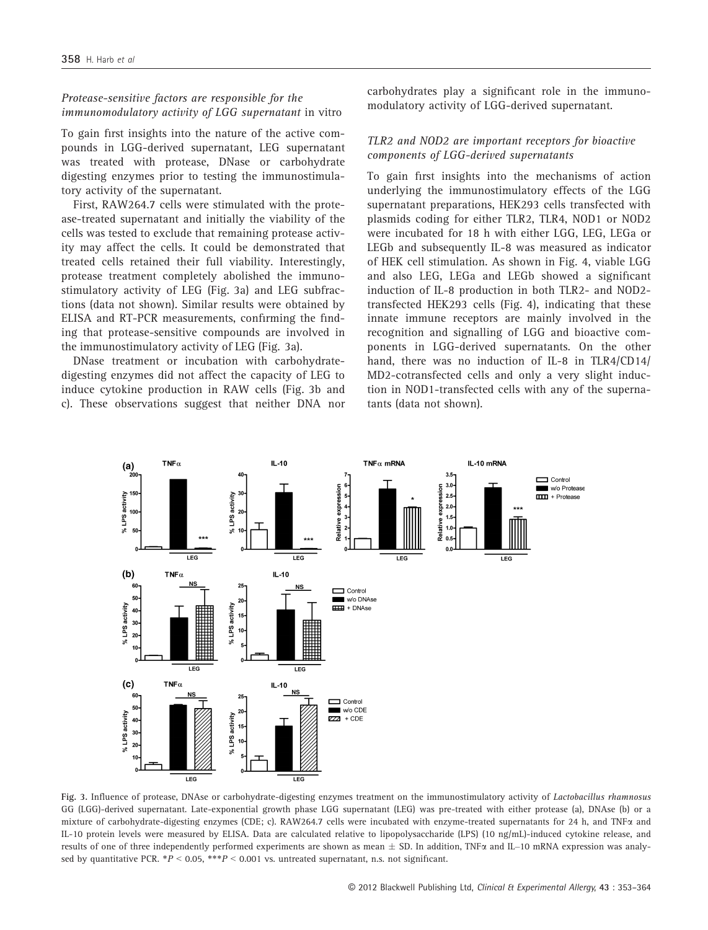#### Protease-sensitive factors are responsible for the immunomodulatory activity of LGG supernatant in vitro

To gain first insights into the nature of the active compounds in LGG-derived supernatant, LEG supernatant was treated with protease, DNase or carbohydrate digesting enzymes prior to testing the immunostimulatory activity of the supernatant.

First, RAW264.7 cells were stimulated with the protease-treated supernatant and initially the viability of the cells was tested to exclude that remaining protease activity may affect the cells. It could be demonstrated that treated cells retained their full viability. Interestingly, protease treatment completely abolished the immunostimulatory activity of LEG (Fig. 3a) and LEG subfractions (data not shown). Similar results were obtained by ELISA and RT-PCR measurements, confirming the finding that protease-sensitive compounds are involved in the immunostimulatory activity of LEG (Fig. 3a).

DNase treatment or incubation with carbohydratedigesting enzymes did not affect the capacity of LEG to induce cytokine production in RAW cells (Fig. 3b and c). These observations suggest that neither DNA nor carbohydrates play a significant role in the immunomodulatory activity of LGG-derived supernatant.

#### TLR2 and NOD2 are important receptors for bioactive components of LGG-derived supernatants

To gain first insights into the mechanisms of action underlying the immunostimulatory effects of the LGG supernatant preparations, HEK293 cells transfected with plasmids coding for either TLR2, TLR4, NOD1 or NOD2 were incubated for 18 h with either LGG, LEG, LEGa or LEGb and subsequently IL-8 was measured as indicator of HEK cell stimulation. As shown in Fig. 4, viable LGG and also LEG, LEGa and LEGb showed a significant induction of IL-8 production in both TLR2- and NOD2 transfected HEK293 cells (Fig. 4), indicating that these innate immune receptors are mainly involved in the recognition and signalling of LGG and bioactive components in LGG-derived supernatants. On the other hand, there was no induction of IL-8 in TLR4/CD14/ MD2-cotransfected cells and only a very slight induction in NOD1-transfected cells with any of the supernatants (data not shown).



Fig. 3. Influence of protease, DNAse or carbohydrate-digesting enzymes treatment on the immunostimulatory activity of Lactobacillus rhamnosus GG (LGG)-derived supernatant. Late-exponential growth phase LGG supernatant (LEG) was pre-treated with either protease (a), DNAse (b) or a mixture of carbohydrate-digesting enzymes (CDE; c). RAW264.7 cells were incubated with enzyme-treated supernatants for 24 h, and TNF $\alpha$  and IL-10 protein levels were measured by ELISA. Data are calculated relative to lipopolysaccharide (LPS) (10 ng/mL)-induced cytokine release, and results of one of three independently performed experiments are shown as mean  $\pm$  SD. In addition, TNF $\alpha$  and IL–10 mRNA expression was analysed by quantitative PCR.  $*P < 0.05$ ,  $**P < 0.001$  vs. untreated supernatant, n.s. not significant.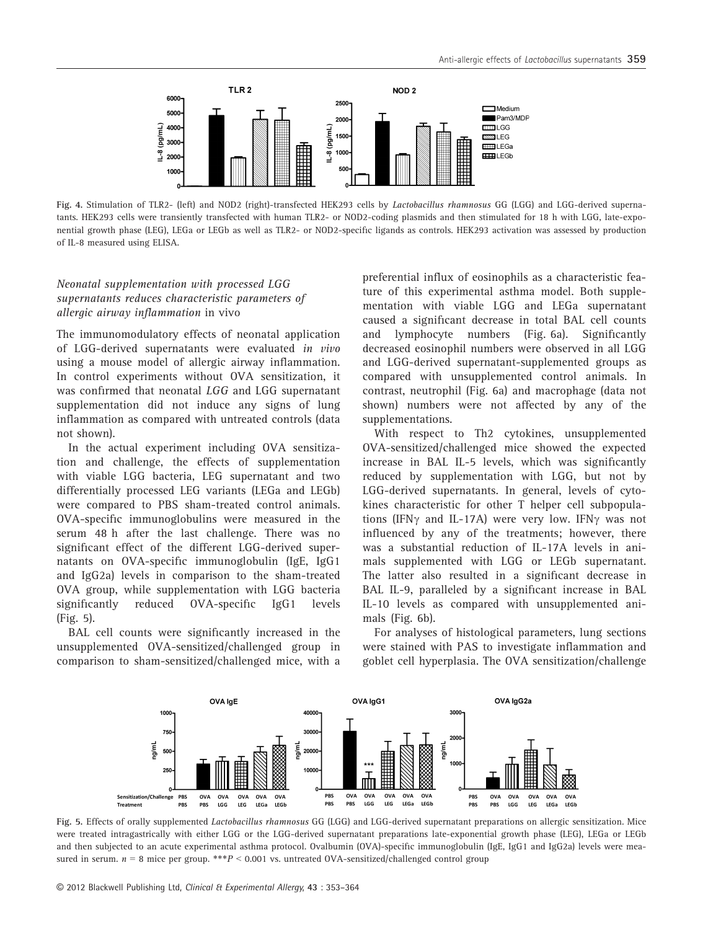

Fig. 4. Stimulation of TLR2- (left) and NOD2 (right)-transfected HEK293 cells by Lactobacillus rhamnosus GG (LGG) and LGG-derived supernatants. HEK293 cells were transiently transfected with human TLR2- or NOD2-coding plasmids and then stimulated for 18 h with LGG, late-exponential growth phase (LEG), LEGa or LEGb as well as TLR2- or NOD2-specific ligands as controls. HEK293 activation was assessed by production of IL-8 measured using ELISA.

#### Neonatal supplementation with processed LGG supernatants reduces characteristic parameters of allergic airway inflammation in vivo

The immunomodulatory effects of neonatal application of LGG-derived supernatants were evaluated in vivo using a mouse model of allergic airway inflammation. In control experiments without OVA sensitization, it was confirmed that neonatal LGG and LGG supernatant supplementation did not induce any signs of lung inflammation as compared with untreated controls (data not shown).

In the actual experiment including OVA sensitization and challenge, the effects of supplementation with viable LGG bacteria, LEG supernatant and two differentially processed LEG variants (LEGa and LEGb) were compared to PBS sham-treated control animals. OVA-specific immunoglobulins were measured in the serum 48 h after the last challenge. There was no significant effect of the different LGG-derived supernatants on OVA-specific immunoglobulin (IgE, IgG1 and IgG2a) levels in comparison to the sham-treated OVA group, while supplementation with LGG bacteria significantly reduced OVA-specific IgG1 levels (Fig. 5).

BAL cell counts were significantly increased in the unsupplemented OVA-sensitized/challenged group in comparison to sham-sensitized/challenged mice, with a preferential influx of eosinophils as a characteristic feature of this experimental asthma model. Both supplementation with viable LGG and LEGa supernatant caused a significant decrease in total BAL cell counts and lymphocyte numbers (Fig. 6a). Significantly decreased eosinophil numbers were observed in all LGG and LGG-derived supernatant-supplemented groups as compared with unsupplemented control animals. In contrast, neutrophil (Fig. 6a) and macrophage (data not shown) numbers were not affected by any of the supplementations.

With respect to Th2 cytokines, unsupplemented OVA-sensitized/challenged mice showed the expected increase in BAL IL-5 levels, which was significantly reduced by supplementation with LGG, but not by LGG-derived supernatants. In general, levels of cytokines characteristic for other T helper cell subpopulations (IFN $\gamma$  and IL-17A) were very low. IFN $\gamma$  was not influenced by any of the treatments; however, there was a substantial reduction of IL-17A levels in animals supplemented with LGG or LEGb supernatant. The latter also resulted in a significant decrease in BAL IL-9, paralleled by a significant increase in BAL IL-10 levels as compared with unsupplemented animals (Fig. 6b).

For analyses of histological parameters, lung sections were stained with PAS to investigate inflammation and goblet cell hyperplasia. The OVA sensitization/challenge



Fig. 5. Effects of orally supplemented Lactobacillus rhamnosus GG (LGG) and LGG-derived supernatant preparations on allergic sensitization. Mice were treated intragastrically with either LGG or the LGG-derived supernatant preparations late-exponential growth phase (LEG), LEGa or LEGb and then subjected to an acute experimental asthma protocol. Ovalbumin (OVA)-specific immunoglobulin (IgE, IgG1 and IgG2a) levels were measured in serum.  $n = 8$  mice per group. \*\*\* $P < 0.001$  vs. untreated OVA-sensitized/challenged control group

© 2012 Blackwell Publishing Ltd, Clinical & Experimental Allergy, 43 : 353–364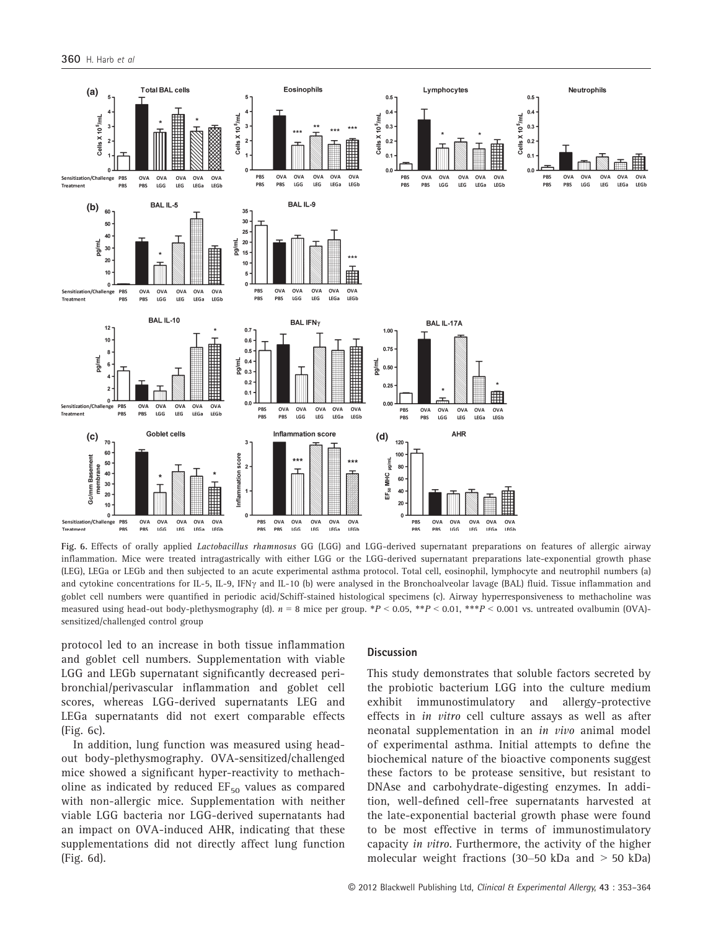

Fig. 6. Effects of orally applied Lactobacillus rhamnosus GG (LGG) and LGG-derived supernatant preparations on features of allergic airway inflammation. Mice were treated intragastrically with either LGG or the LGG-derived supernatant preparations late-exponential growth phase (LEG), LEGa or LEGb and then subjected to an acute experimental asthma protocol. Total cell, eosinophil, lymphocyte and neutrophil numbers (a) and cytokine concentrations for IL-5, IL-9, IFN<sub>Y</sub> and IL-10 (b) were analysed in the Bronchoalveolar lavage (BAL) fluid. Tissue inflammation and goblet cell numbers were quantified in periodic acid/Schiff-stained histological specimens (c). Airway hyperresponsiveness to methacholine was measured using head-out body-plethysmography (d).  $n = 8$  mice per group. \*P < 0.05, \*\*P < 0.01, \*\*\*P < 0.001 vs. untreated ovalbumin (OVA)sensitized/challenged control group

protocol led to an increase in both tissue inflammation and goblet cell numbers. Supplementation with viable LGG and LEGb supernatant significantly decreased peribronchial/perivascular inflammation and goblet cell scores, whereas LGG-derived supernatants LEG and LEGa supernatants did not exert comparable effects (Fig. 6c).

In addition, lung function was measured using headout body-plethysmography. OVA-sensitized/challenged mice showed a significant hyper-reactivity to methacholine as indicated by reduced  $EF_{50}$  values as compared with non-allergic mice. Supplementation with neither viable LGG bacteria nor LGG-derived supernatants had an impact on OVA-induced AHR, indicating that these supplementations did not directly affect lung function (Fig. 6d).

#### **Discussion**

This study demonstrates that soluble factors secreted by the probiotic bacterium LGG into the culture medium exhibit immunostimulatory and allergy-protective effects in in vitro cell culture assays as well as after neonatal supplementation in an in vivo animal model of experimental asthma. Initial attempts to define the biochemical nature of the bioactive components suggest these factors to be protease sensitive, but resistant to DNAse and carbohydrate-digesting enzymes. In addition, well-defined cell-free supernatants harvested at the late-exponential bacterial growth phase were found to be most effective in terms of immunostimulatory capacity in vitro. Furthermore, the activity of the higher molecular weight fractions (30–50 kDa and > 50 kDa)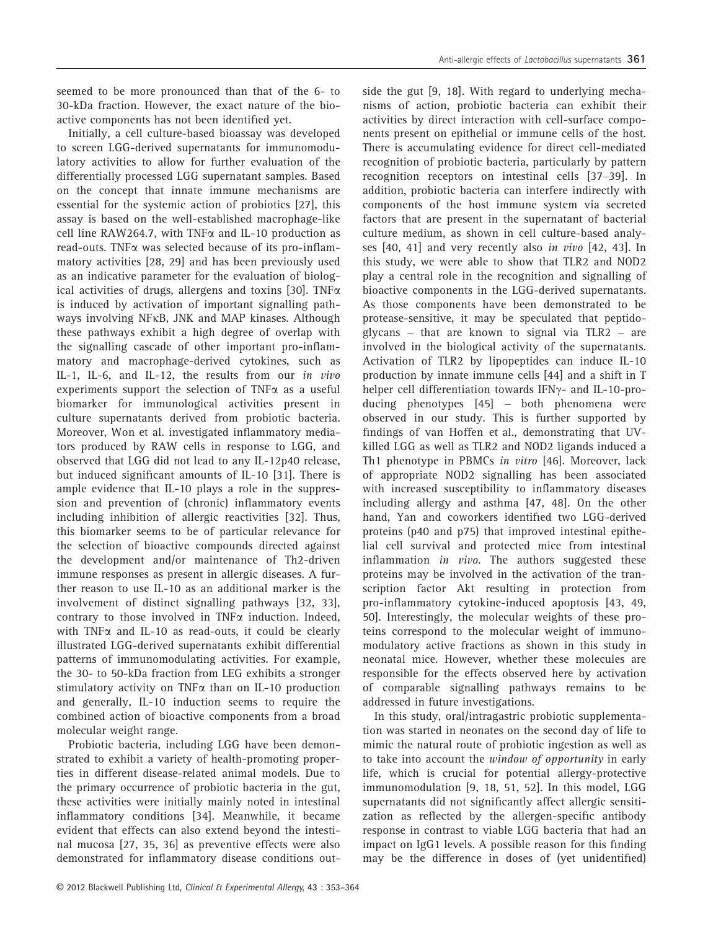seemed to be more pronounced than that of the 6- to 30-kDa fraction. However, the exact nature of the bioactive components has not been identified yet.

Initially, a cell culture-based bioassay was developed to screen LGG-derived supernatants for immunomodulatory activities to allow for further evaluation of the differentially processed LGG supernatant samples. Based on the concept that innate immune mechanisms are essential for the systemic action of probiotics [27], this assay is based on the well-established macrophage-like cell line RAW264.7, with TNF $\alpha$  and IL-10 production as read-outs. TNFa was selected because of its pro-inflammatory activities [28, 29] and has been previously used as an indicative parameter for the evaluation of biological activities of drugs, allergens and toxins [30]. TNF $\alpha$ is induced by activation of important signalling pathways involving NFKB, JNK and MAP kinases. Although these pathways exhibit a high degree of overlap with the signalling cascade of other important pro-inflammatory and macrophage-derived cytokines, such as IL-1, IL-6, and IL-12, the results from our in vivo experiments support the selection of  $TNF\alpha$  as a useful biomarker for immunological activities present in culture supernatants derived from probiotic bacteria. Moreover, Won et al. investigated inflammatory mediators produced by RAW cells in response to LGG, and observed that LGG did not lead to any IL-12p40 release, but induced significant amounts of IL-10 [31]. There is ample evidence that IL-10 plays a role in the suppression and prevention of (chronic) inflammatory events including inhibition of allergic reactivities [32]. Thus, this biomarker seems to be of particular relevance for the selection of bioactive compounds directed against the development and/or maintenance of Th2-driven immune responses as present in allergic diseases. A further reason to use IL-10 as an additional marker is the involvement of distinct signalling pathways [32, 33], contrary to those involved in TNF $\alpha$  induction. Indeed, with  $TNF\alpha$  and IL-10 as read-outs, it could be clearly illustrated LGG-derived supernatants exhibit differential patterns of immunomodulating activities. For example, the 30- to 50-kDa fraction from LEG exhibits a stronger stimulatory activity on TNF $\alpha$  than on IL-10 production and generally, IL-10 induction seems to require the combined action of bioactive components from a broad molecular weight range.

Probiotic bacteria, including LGG have been demonstrated to exhibit a variety of health-promoting properties in different disease-related animal models. Due to the primary occurrence of probiotic bacteria in the gut, these activities were initially mainly noted in intestinal inflammatory conditions [34]. Meanwhile, it became evident that effects can also extend beyond the intestinal mucosa [27, 35, 36] as preventive effects were also demonstrated for inflammatory disease conditions outside the gut [9, 18]. With regard to underlying mechanisms of action, probiotic bacteria can exhibit their activities by direct interaction with cell-surface components present on epithelial or immune cells of the host. There is accumulating evidence for direct cell-mediated recognition of probiotic bacteria, particularly by pattern recognition receptors on intestinal cells [37–39]. In addition, probiotic bacteria can interfere indirectly with components of the host immune system via secreted factors that are present in the supernatant of bacterial culture medium, as shown in cell culture-based analyses [40, 41] and very recently also in vivo [42, 43]. In this study, we were able to show that TLR2 and NOD2 play a central role in the recognition and signalling of bioactive components in the LGG-derived supernatants. As those components have been demonstrated to be protease-sensitive, it may be speculated that peptidoglycans – that are known to signal via TLR2 – are involved in the biological activity of the supernatants. Activation of TLR2 by lipopeptides can induce IL-10 production by innate immune cells [44] and a shift in T helper cell differentiation towards IFN $\gamma$ - and IL-10-producing phenotypes [45] – both phenomena were observed in our study. This is further supported by findings of van Hoffen et al., demonstrating that UVkilled LGG as well as TLR2 and NOD2 ligands induced a Th1 phenotype in PBMCs in vitro [46]. Moreover, lack of appropriate NOD2 signalling has been associated with increased susceptibility to inflammatory diseases including allergy and asthma [47, 48]. On the other hand, Yan and coworkers identified two LGG-derived proteins (p40 and p75) that improved intestinal epithelial cell survival and protected mice from intestinal inflammation in vivo. The authors suggested these proteins may be involved in the activation of the transcription factor Akt resulting in protection from pro-inflammatory cytokine-induced apoptosis [43, 49, 50]. Interestingly, the molecular weights of these proteins correspond to the molecular weight of immunomodulatory active fractions as shown in this study in neonatal mice. However, whether these molecules are responsible for the effects observed here by activation of comparable signalling pathways remains to be addressed in future investigations.

In this study, oral/intragastric probiotic supplementation was started in neonates on the second day of life to mimic the natural route of probiotic ingestion as well as to take into account the window of opportunity in early life, which is crucial for potential allergy-protective immunomodulation [9, 18, 51, 52]. In this model, LGG supernatants did not significantly affect allergic sensitization as reflected by the allergen-specific antibody response in contrast to viable LGG bacteria that had an impact on IgG1 levels. A possible reason for this finding may be the difference in doses of (yet unidentified)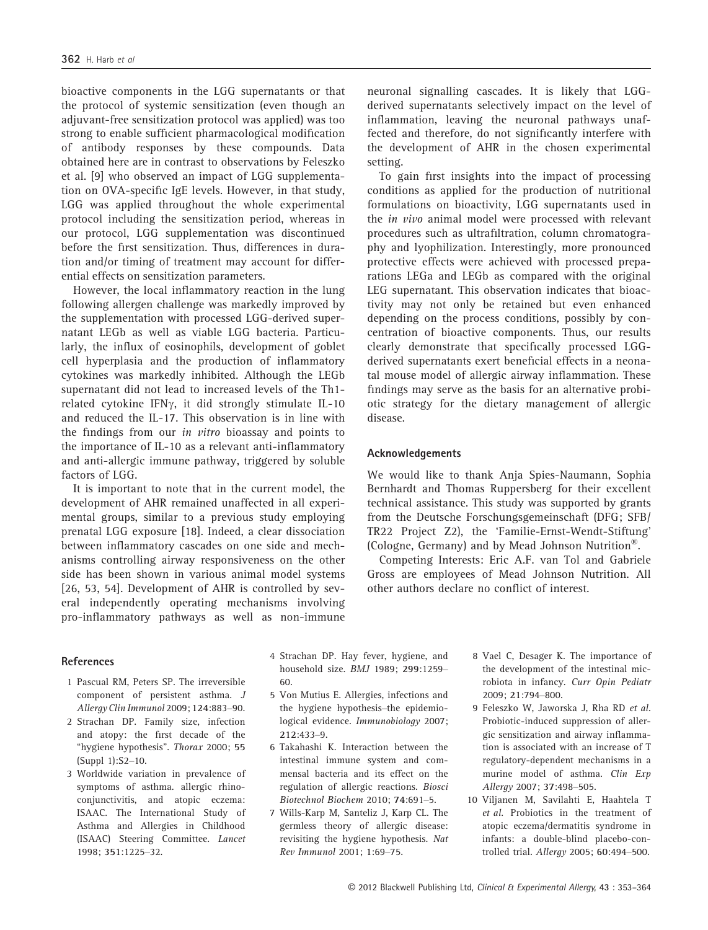bioactive components in the LGG supernatants or that the protocol of systemic sensitization (even though an adjuvant-free sensitization protocol was applied) was too strong to enable sufficient pharmacological modification of antibody responses by these compounds. Data obtained here are in contrast to observations by Feleszko et al. [9] who observed an impact of LGG supplementation on OVA-specific IgE levels. However, in that study, LGG was applied throughout the whole experimental protocol including the sensitization period, whereas in our protocol, LGG supplementation was discontinued before the first sensitization. Thus, differences in duration and/or timing of treatment may account for differential effects on sensitization parameters.

However, the local inflammatory reaction in the lung following allergen challenge was markedly improved by the supplementation with processed LGG-derived supernatant LEGb as well as viable LGG bacteria. Particularly, the influx of eosinophils, development of goblet cell hyperplasia and the production of inflammatory cytokines was markedly inhibited. Although the LEGb supernatant did not lead to increased levels of the Th1 related cytokine IFN $\gamma$ , it did strongly stimulate IL-10 and reduced the IL-17. This observation is in line with the findings from our in vitro bioassay and points to the importance of IL-10 as a relevant anti-inflammatory and anti-allergic immune pathway, triggered by soluble factors of LGG.

It is important to note that in the current model, the development of AHR remained unaffected in all experimental groups, similar to a previous study employing prenatal LGG exposure [18]. Indeed, a clear dissociation between inflammatory cascades on one side and mechanisms controlling airway responsiveness on the other side has been shown in various animal model systems [26, 53, 54]. Development of AHR is controlled by several independently operating mechanisms involving pro-inflammatory pathways as well as non-immune

#### References

- 1 Pascual RM, Peters SP. The irreversible component of persistent asthma. J Allergy Clin Immunol 2009; 124:883–90.
- 2 Strachan DP. Family size, infection and atopy: the first decade of the "hygiene hypothesis". Thorax 2000; 55 (Suppl 1):S2–10.
- 3 Worldwide variation in prevalence of symptoms of asthma. allergic rhinoconjunctivitis, and atopic eczema: ISAAC. The International Study of Asthma and Allergies in Childhood (ISAAC) Steering Committee. Lancet 1998; 351:1225–32.
- 4 Strachan DP. Hay fever, hygiene, and household size. BMJ 1989; 299:1259– 60.
- 5 Von Mutius E. Allergies, infections and the hygiene hypothesis–the epidemiological evidence. Immunobiology 2007; 212:433–9.
- 6 Takahashi K. Interaction between the intestinal immune system and commensal bacteria and its effect on the regulation of allergic reactions. Biosci Biotechnol Biochem 2010; 74:691–5.
- 7 Wills-Karp M, Santeliz J, Karp CL. The germless theory of allergic disease: revisiting the hygiene hypothesis. Nat Rev Immunol 2001; 1:69–75.
- 8 Vael C, Desager K. The importance of the development of the intestinal microbiota in infancy. Curr Opin Pediatr 2009; 21:794–800.
- 9 Feleszko W, Jaworska J, Rha RD et al. Probiotic-induced suppression of allergic sensitization and airway inflammation is associated with an increase of T regulatory-dependent mechanisms in a murine model of asthma. Clin Exp Allergy 2007; 37:498–505.
- 10 Viljanen M, Savilahti E, Haahtela T et al. Probiotics in the treatment of atopic eczema/dermatitis syndrome in infants: a double-blind placebo-controlled trial. Allergy 2005; 60:494–500.

neuronal signalling cascades. It is likely that LGGderived supernatants selectively impact on the level of inflammation, leaving the neuronal pathways unaffected and therefore, do not significantly interfere with the development of AHR in the chosen experimental setting.

To gain first insights into the impact of processing conditions as applied for the production of nutritional formulations on bioactivity, LGG supernatants used in the *in vivo* animal model were processed with relevant procedures such as ultrafiltration, column chromatography and lyophilization. Interestingly, more pronounced protective effects were achieved with processed preparations LEGa and LEGb as compared with the original LEG supernatant. This observation indicates that bioactivity may not only be retained but even enhanced depending on the process conditions, possibly by concentration of bioactive components. Thus, our results clearly demonstrate that specifically processed LGGderived supernatants exert beneficial effects in a neonatal mouse model of allergic airway inflammation. These findings may serve as the basis for an alternative probiotic strategy for the dietary management of allergic disease.

#### Acknowledgements

We would like to thank Anja Spies-Naumann, Sophia Bernhardt and Thomas Ruppersberg for their excellent technical assistance. This study was supported by grants from the Deutsche Forschungsgemeinschaft (DFG; SFB/ TR22 Project Z2), the 'Familie-Ernst-Wendt-Stiftung' (Cologne, Germany) and by Mead Johnson Nutrition®.

Competing Interests: Eric A.F. van Tol and Gabriele Gross are employees of Mead Johnson Nutrition. All other authors declare no conflict of interest.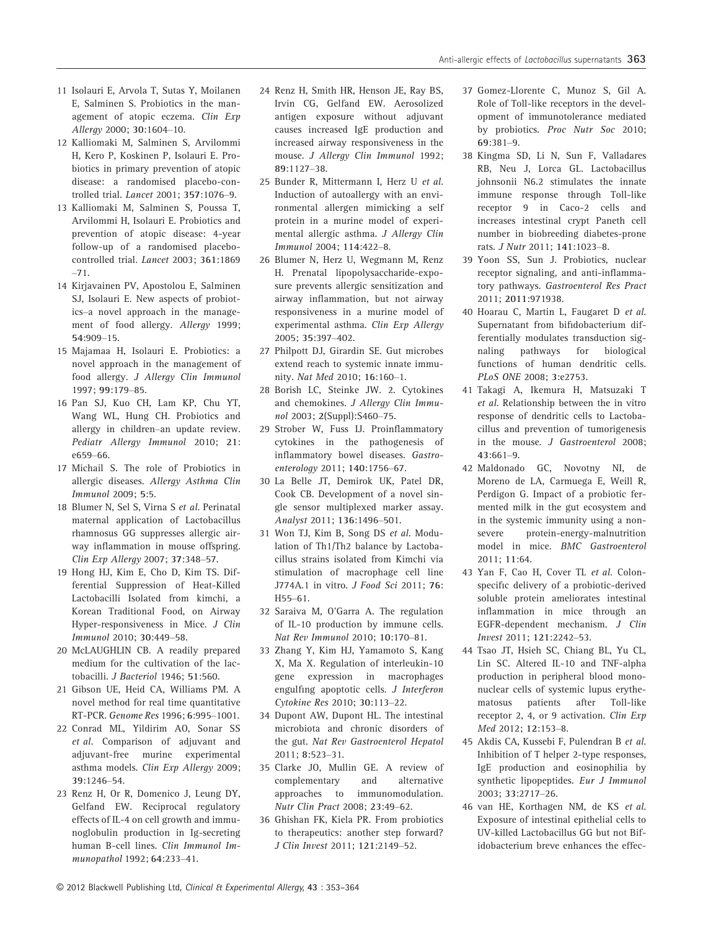- 11 Isolauri E, Arvola T, Sutas Y, Moilanen E, Salminen S. Probiotics in the management of atopic eczema. Clin Exp Allergy 2000; 30:1604–10.
- 12 Kalliomaki M, Salminen S, Arvilommi H, Kero P, Koskinen P, Isolauri E. Probiotics in primary prevention of atopic disease: a randomised placebo-controlled trial. Lancet 2001; 357:1076–9.
- 13 Kalliomaki M, Salminen S, Poussa T, Arvilommi H, Isolauri E. Probiotics and prevention of atopic disease: 4-year follow-up of a randomised placebocontrolled trial. Lancet 2003; 361:1869 –71.
- 14 Kirjavainen PV, Apostolou E, Salminen SJ, Isolauri E. New aspects of probiotics–a novel approach in the management of food allergy. Allergy 1999;
- 54:909–15. 15 Majamaa H, Isolauri E. Probiotics: a novel approach in the management of food allergy. J Allergy Clin Immunol 1997; 99:179–85.
- 16 Pan SJ, Kuo CH, Lam KP, Chu YT, Wang WL, Hung CH. Probiotics and allergy in children–an update review. Pediatr Allergy Immunol 2010; 21: e659–66.
- 17 Michail S. The role of Probiotics in allergic diseases. Allergy Asthma Clin Immunol 2009; 5:5.
- 18 Blumer N, Sel S, Virna S et al. Perinatal maternal application of Lactobacillus rhamnosus GG suppresses allergic airway inflammation in mouse offspring. Clin Exp Allergy 2007; 37:348–57.
- 19 Hong HJ, Kim E, Cho D, Kim TS. Differential Suppression of Heat-Killed Lactobacilli Isolated from kimchi, a Korean Traditional Food, on Airway Hyper-responsiveness in Mice. J Clin Immunol 2010; 30:449–58.
- 20 McLAUGHLIN CB. A readily prepared medium for the cultivation of the lactobacilli. J Bacteriol 1946; 51:560.
- 21 Gibson UE, Heid CA, Williams PM. A novel method for real time quantitative RT-PCR. Genome Res 1996; 6:995–1001.
- 22 Conrad ML, Yildirim AO, Sonar SS et al. Comparison of adjuvant and adjuvant-free murine experimental asthma models. Clin Exp Allergy 2009; 39:1246–54.
- 23 Renz H, Or R, Domenico J, Leung DY, Gelfand EW. Reciprocal regulatory effects of IL-4 on cell growth and immunoglobulin production in Ig-secreting human B-cell lines. Clin Immunol Immunopathol 1992; 64:233–41.
- 24 Renz H, Smith HR, Henson JE, Ray BS, Irvin CG, Gelfand EW. Aerosolized antigen exposure without adjuvant causes increased IgE production and increased airway responsiveness in the mouse. J Alleray Clin Immunol 1992: 89:1127–38.
- 25 Bunder R, Mittermann I, Herz U et al. Induction of autoallergy with an environmental allergen mimicking a self protein in a murine model of experimental allergic asthma. J Allergy Clin Immunol 2004; 114:422–8.
- 26 Blumer N, Herz U, Wegmann M, Renz H. Prenatal lipopolysaccharide-exposure prevents allergic sensitization and airway inflammation, but not airway responsiveness in a murine model of experimental asthma. Clin Exp Allergy 2005; 35:397–402.
- 27 Philpott DJ, Girardin SE. Gut microbes extend reach to systemic innate immunity. Nat Med 2010; 16:160–1.
- 28 Borish LC, Steinke JW. 2. Cytokines and chemokines. J Allergy Clin Immunol 2003; 2(Suppl):S460–75.
- 29 Strober W, Fuss IJ. Proinflammatory cytokines in the pathogenesis of inflammatory bowel diseases. Gastroenterology 2011; 140:1756–67.
- 30 La Belle JT, Demirok UK, Patel DR, Cook CB. Development of a novel single sensor multiplexed marker assay. Analyst 2011; 136:1496–501.
- 31 Won TJ, Kim B, Song DS et al. Modulation of Th1/Th2 balance by Lactobacillus strains isolated from Kimchi via stimulation of macrophage cell line J774A.1 in vitro. J Food Sci 2011; 76: H55–61.
- 32 Saraiva M, O'Garra A. The regulation of IL-10 production by immune cells. Nat Rev Immunol 2010; 10:170–81.
- 33 Zhang Y, Kim HJ, Yamamoto S, Kang X, Ma X. Regulation of interleukin-10 gene expression in macrophages engulfing apoptotic cells. J Interferon Cytokine Res 2010; 30:113–22.
- 34 Dupont AW, Dupont HL. The intestinal microbiota and chronic disorders of the gut. Nat Rev Gastroenterol Hepatol 2011; 8:523–31.
- 35 Clarke JO, Mullin GE. A review of complementary and alternative approaches to immunomodulation. Nutr Clin Pract 2008; 23:49–62.
- 36 Ghishan FK, Kiela PR. From probiotics to therapeutics: another step forward? J Clin Invest 2011; 121:2149–52.
- 37 Gomez-Llorente C, Munoz S, Gil A. Role of Toll-like receptors in the development of immunotolerance mediated by probiotics. Proc Nutr Soc 2010;
- 69:381–9. 38 Kingma SD, Li N, Sun F, Valladares RB, Neu J, Lorca GL. Lactobacillus johnsonii N6.2 stimulates the innate immune response through Toll-like receptor 9 in Caco-2 cells and increases intestinal crypt Paneth cell number in biobreeding diabetes-prone rats. J Nutr 2011; 141:1023–8.
- 39 Yoon SS, Sun J. Probiotics, nuclear receptor signaling, and anti-inflammatory pathways. Gastroenterol Res Pract 2011; 2011:971938.
- 40 Hoarau C, Martin L, Faugaret D et al. Supernatant from bifidobacterium differentially modulates transduction signaling pathways for biological functions of human dendritic cells. PLoS ONE 2008; 3:e2753.
- 41 Takagi A, Ikemura H, Matsuzaki T et al. Relationship between the in vitro response of dendritic cells to Lactobacillus and prevention of tumorigenesis in the mouse. J Gastroenterol 2008; 43:661–9.
- 42 Maldonado GC, Novotny NI, de Moreno de LA, Carmuega E, Weill R, Perdigon G. Impact of a probiotic fermented milk in the gut ecosystem and in the systemic immunity using a nonsevere protein-energy-malnutrition model in mice. BMC Gastroenterol 2011; <sup>11</sup>:64.
- 43 Yan F, Cao H, Cover TL et al. Colonspecific delivery of a probiotic-derived soluble protein ameliorates intestinal inflammation in mice through an EGFR-dependent mechanism. J Clin Invest 2011; 121:2242–53.
- 44 Tsao JT, Hsieh SC, Chiang BL, Yu CL, Lin SC. Altered IL-10 and TNF-alpha production in peripheral blood mononuclear cells of systemic lupus erythematosus patients after Toll-like receptor 2, 4, or 9 activation. Clin Exp Med 2012; 12:153–8.
- 45 Akdis CA, Kussebi F, Pulendran B et al. Inhibition of T helper 2-type responses, IgE production and eosinophilia by synthetic lipopeptides. Eur J Immunol 2003; 33:2717–26.
- 46 van HE, Korthagen NM, de KS et al. Exposure of intestinal epithelial cells to UV-killed Lactobacillus GG but not Bifidobacterium breve enhances the effec-